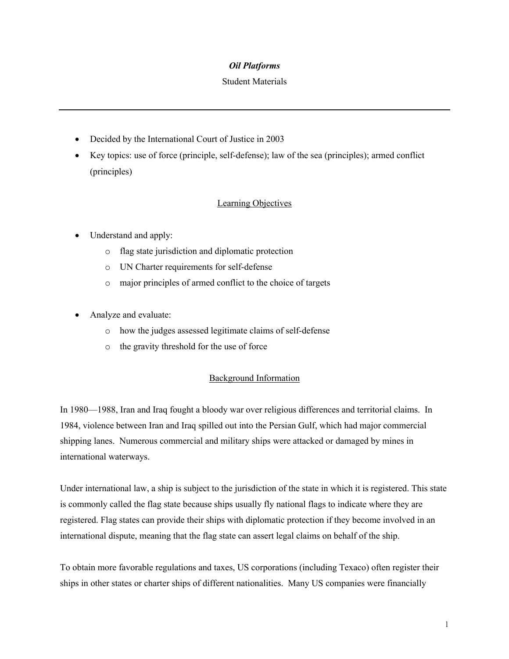## *Oil Platforms*

#### Student Materials

- Decided by the International Court of Justice in 2003
- Key topics: use of force (principle, self-defense); law of the sea (principles); armed conflict (principles)

## Learning Objectives

- Understand and apply:
	- o flag state jurisdiction and diplomatic protection
	- o UN Charter requirements for self-defense
	- o major principles of armed conflict to the choice of targets
- Analyze and evaluate:
	- o how the judges assessed legitimate claims of self-defense
	- o the gravity threshold for the use of force

### Background Information

In 1980—1988, Iran and Iraq fought a bloody war over religious differences and territorial claims. In 1984, violence between Iran and Iraq spilled out into the Persian Gulf, which had major commercial shipping lanes. Numerous commercial and military ships were attacked or damaged by mines in international waterways.

Under international law, a ship is subject to the jurisdiction of the state in which it is registered. This state is commonly called the flag state because ships usually fly national flags to indicate where they are registered. Flag states can provide their ships with diplomatic protection if they become involved in an international dispute, meaning that the flag state can assert legal claims on behalf of the ship.

To obtain more favorable regulations and taxes, US corporations (including Texaco) often register their ships in other states or charter ships of different nationalities. Many US companies were financially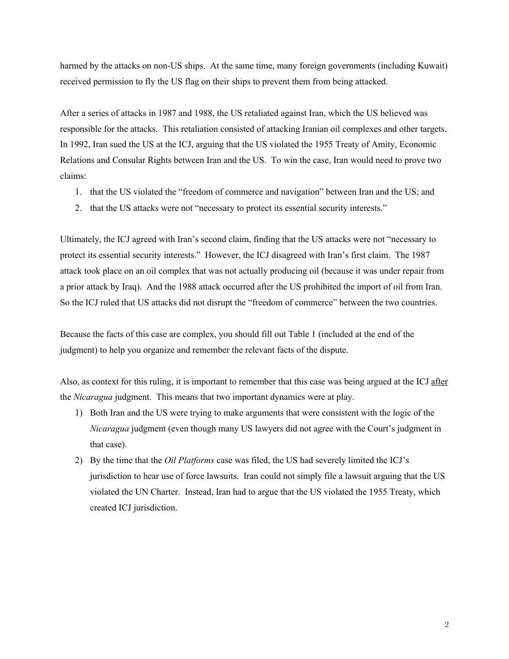harmed by the attacks on non-US ships. At the same time, many foreign governments (including Kuwait) received permission to fly the US flag on their ships to prevent them from being attacked.

After a series of attacks in 1987 and 1988, the US retaliated against Iran, which the US believed was responsible for the attacks. This retaliation consisted of attacking Iranian oil complexes and other targets. In 1992, Iran sued the US at the ICJ, arguing that the US violated the 1955 Treaty of Amity, Economic Relations and Consular Rights between Iran and the US. To win the case, Iran would need to prove two claims:

- 1. that the US violated the "freedom of commerce and navigation" between Iran and the US; and
- 2. that the US attacks were not "necessary to protect its essential security interests."

Ultimately, the ICJ agreed with Iran's second claim, finding that the US attacks were not "necessary to protect its essential security interests." However, the ICJ disagreed with Iran's first claim. The 1987 attack took place on an oil complex that was not actually producing oil (because it was under repair from a prior attack by Iraq). And the 1988 attack occurred after the US prohibited the import of oil from Iran. So the ICJ ruled that US attacks did not disrupt the "freedom of commerce" between the two countries.

Because the facts of this case are complex, you should fill out Table 1 (included at the end of the judgment) to help you organize and remember the relevant facts of the dispute.

Also, as context for this ruling, it is important to remember that this case was being argued at the ICJ after the *Nicaragua* judgment. This means that two important dynamics were at play.

- 1) Both Iran and the US were trying to make arguments that were consistent with the logic of the *Nicaragua* judgment (even though many US lawyers did not agree with the Court's judgment in that case).
- 2) By the time that the *Oil Platforms* case was filed, the US had severely limited the ICJ's jurisdiction to hear use of force lawsuits. Iran could not simply file a lawsuit arguing that the US violated the UN Charter. Instead, Iran had to argue that the US violated the 1955 Treaty, which created ICJ jurisdiction.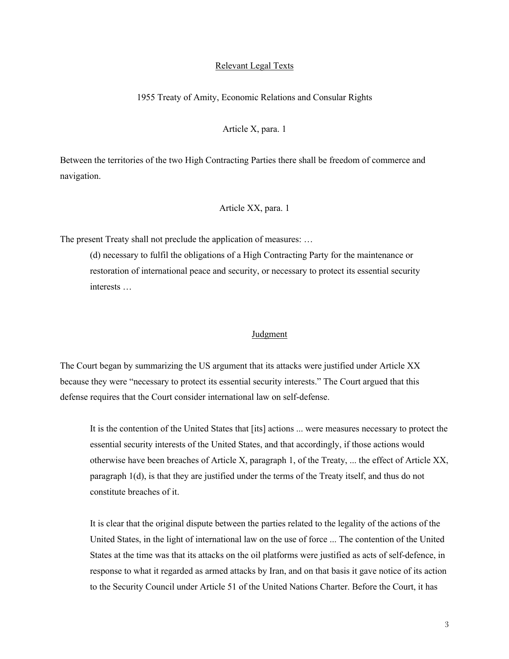#### Relevant Legal Texts

## 1955 Treaty of Amity, Economic Relations and Consular Rights

## Article X, para. 1

Between the territories of the two High Contracting Parties there shall be freedom of commerce and navigation.

## Article XX, para. 1

The present Treaty shall not preclude the application of measures: …

(d) necessary to fulfil the obligations of a High Contracting Party for the maintenance or restoration of international peace and security, or necessary to protect its essential security interests …

### Judgment

The Court began by summarizing the US argument that its attacks were justified under Article XX because they were "necessary to protect its essential security interests." The Court argued that this defense requires that the Court consider international law on self-defense.

It is the contention of the United States that [its] actions ... were measures necessary to protect the essential security interests of the United States, and that accordingly, if those actions would otherwise have been breaches of Article X, paragraph 1, of the Treaty, ... the effect of Article XX, paragraph 1(d), is that they are justified under the terms of the Treaty itself, and thus do not constitute breaches of it.

It is clear that the original dispute between the parties related to the legality of the actions of the United States, in the light of international law on the use of force ... The contention of the United States at the time was that its attacks on the oil platforms were justified as acts of self-defence, in response to what it regarded as armed attacks by Iran, and on that basis it gave notice of its action to the Security Council under Article 51 of the United Nations Charter. Before the Court, it has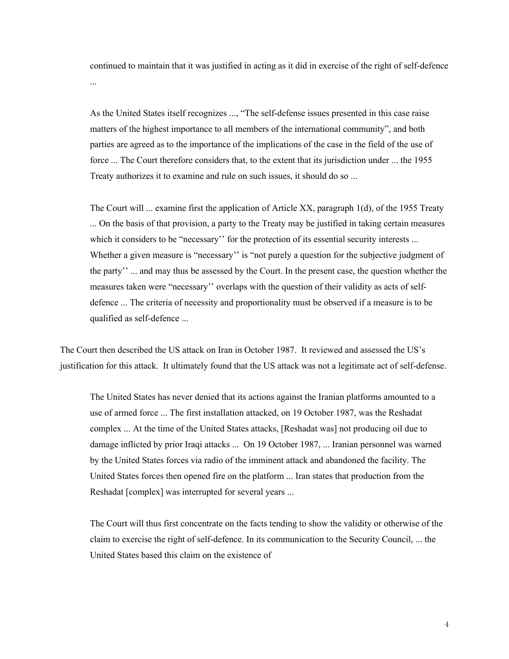continued to maintain that it was justified in acting as it did in exercise of the right of self-defence ...

As the United States itself recognizes ..., "The self-defense issues presented in this case raise matters of the highest importance to all members of the international community", and both parties are agreed as to the importance of the implications of the case in the field of the use of force ... The Court therefore considers that, to the extent that its jurisdiction under ... the 1955 Treaty authorizes it to examine and rule on such issues, it should do so ...

The Court will ... examine first the application of Article XX, paragraph 1(d), of the 1955 Treaty ... On the basis of that provision, a party to the Treaty may be justified in taking certain measures which it considers to be "necessary" for the protection of its essential security interests ... Whether a given measure is "necessary'' is "not purely a question for the subjective judgment of the party'' ... and may thus be assessed by the Court. In the present case, the question whether the measures taken were "necessary'' overlaps with the question of their validity as acts of selfdefence ... The criteria of necessity and proportionality must be observed if a measure is to be qualified as self-defence ...

The Court then described the US attack on Iran in October 1987. It reviewed and assessed the US's justification for this attack. It ultimately found that the US attack was not a legitimate act of self-defense.

The United States has never denied that its actions against the Iranian platforms amounted to a use of armed force ... The first installation attacked, on 19 October 1987, was the Reshadat complex ... At the time of the United States attacks, [Reshadat was] not producing oil due to damage inflicted by prior Iraqi attacks ... On 19 October 1987, ... Iranian personnel was warned by the United States forces via radio of the imminent attack and abandoned the facility. The United States forces then opened fire on the platform ... Iran states that production from the Reshadat [complex] was interrupted for several years ...

The Court will thus first concentrate on the facts tending to show the validity or otherwise of the claim to exercise the right of self-defence. In its communication to the Security Council, ... the United States based this claim on the existence of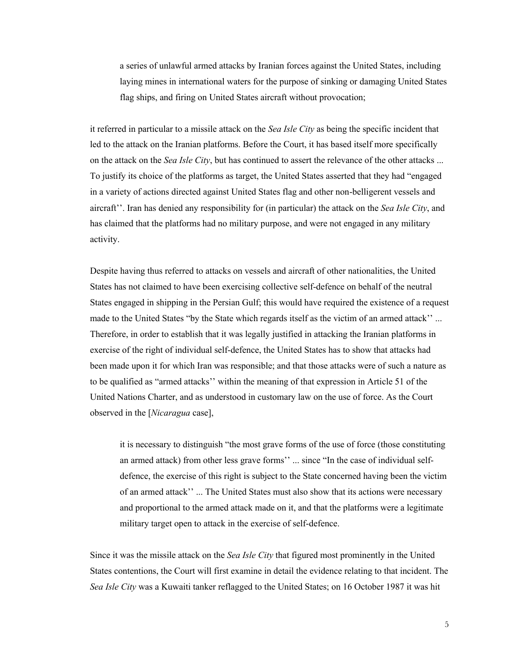a series of unlawful armed attacks by Iranian forces against the United States, including laying mines in international waters for the purpose of sinking or damaging United States flag ships, and firing on United States aircraft without provocation;

it referred in particular to a missile attack on the *Sea Isle City* as being the specific incident that led to the attack on the Iranian platforms. Before the Court, it has based itself more specifically on the attack on the *Sea Isle City*, but has continued to assert the relevance of the other attacks ... To justify its choice of the platforms as target, the United States asserted that they had "engaged in a variety of actions directed against United States flag and other non-belligerent vessels and aircraft''. Iran has denied any responsibility for (in particular) the attack on the *Sea Isle City*, and has claimed that the platforms had no military purpose, and were not engaged in any military activity.

Despite having thus referred to attacks on vessels and aircraft of other nationalities, the United States has not claimed to have been exercising collective self-defence on behalf of the neutral States engaged in shipping in the Persian Gulf; this would have required the existence of a request made to the United States "by the State which regards itself as the victim of an armed attack'' ... Therefore, in order to establish that it was legally justified in attacking the Iranian platforms in exercise of the right of individual self-defence, the United States has to show that attacks had been made upon it for which Iran was responsible; and that those attacks were of such a nature as to be qualified as "armed attacks'' within the meaning of that expression in Article 51 of the United Nations Charter, and as understood in customary law on the use of force. As the Court observed in the [*Nicaragua* case],

it is necessary to distinguish "the most grave forms of the use of force (those constituting an armed attack) from other less grave forms'' ... since "In the case of individual selfdefence, the exercise of this right is subject to the State concerned having been the victim of an armed attack'' ... The United States must also show that its actions were necessary and proportional to the armed attack made on it, and that the platforms were a legitimate military target open to attack in the exercise of self-defence.

Since it was the missile attack on the *Sea Isle City* that figured most prominently in the United States contentions, the Court will first examine in detail the evidence relating to that incident. The *Sea Isle City* was a Kuwaiti tanker reflagged to the United States; on 16 October 1987 it was hit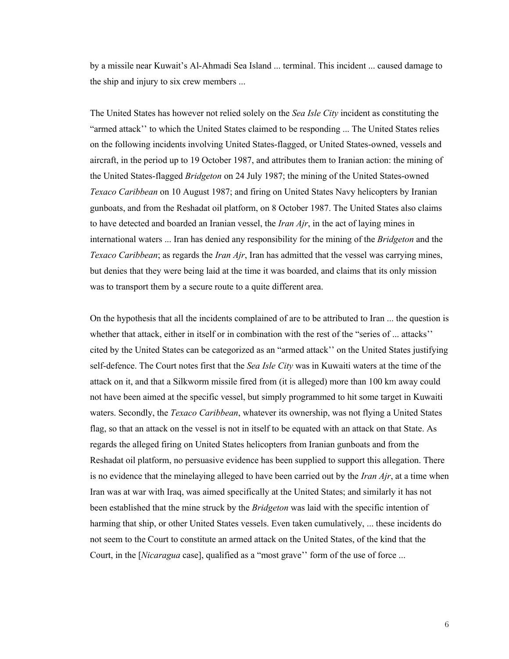by a missile near Kuwait's Al-Ahmadi Sea Island ... terminal. This incident ... caused damage to the ship and injury to six crew members ...

The United States has however not relied solely on the *Sea Isle City* incident as constituting the "armed attack'' to which the United States claimed to be responding ... The United States relies on the following incidents involving United States-flagged, or United States-owned, vessels and aircraft, in the period up to 19 October 1987, and attributes them to Iranian action: the mining of the United States-flagged *Bridgeton* on 24 July 1987; the mining of the United States-owned *Texaco Caribbean* on 10 August 1987; and firing on United States Navy helicopters by Iranian gunboats, and from the Reshadat oil platform, on 8 October 1987. The United States also claims to have detected and boarded an Iranian vessel, the *Iran Ajr*, in the act of laying mines in international waters ... Iran has denied any responsibility for the mining of the *Bridgeton* and the *Texaco Caribbean*; as regards the *Iran Ajr*, Iran has admitted that the vessel was carrying mines, but denies that they were being laid at the time it was boarded, and claims that its only mission was to transport them by a secure route to a quite different area.

On the hypothesis that all the incidents complained of are to be attributed to Iran ... the question is whether that attack, either in itself or in combination with the rest of the "series of ... attacks" cited by the United States can be categorized as an "armed attack'' on the United States justifying self-defence. The Court notes first that the *Sea Isle City* was in Kuwaiti waters at the time of the attack on it, and that a Silkworm missile fired from (it is alleged) more than 100 km away could not have been aimed at the specific vessel, but simply programmed to hit some target in Kuwaiti waters. Secondly, the *Texaco Caribbean*, whatever its ownership, was not flying a United States flag, so that an attack on the vessel is not in itself to be equated with an attack on that State. As regards the alleged firing on United States helicopters from Iranian gunboats and from the Reshadat oil platform, no persuasive evidence has been supplied to support this allegation. There is no evidence that the minelaying alleged to have been carried out by the *Iran Ajr*, at a time when Iran was at war with Iraq, was aimed specifically at the United States; and similarly it has not been established that the mine struck by the *Bridgeton* was laid with the specific intention of harming that ship, or other United States vessels. Even taken cumulatively, ... these incidents do not seem to the Court to constitute an armed attack on the United States, of the kind that the Court, in the *[Nicaragua* case], qualified as a "most grave" form of the use of force ...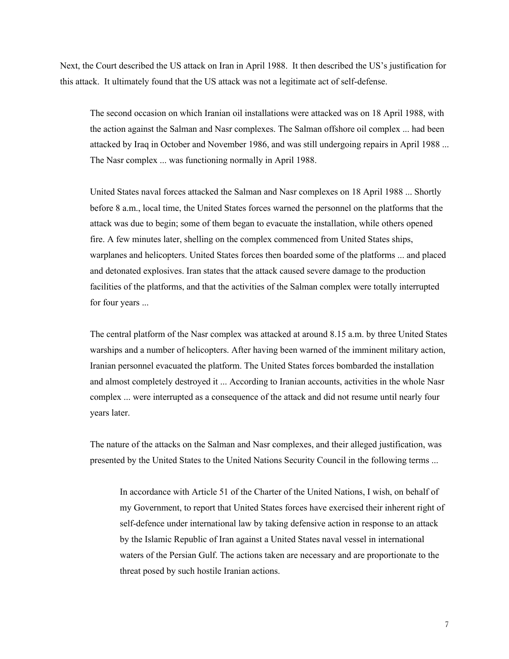Next, the Court described the US attack on Iran in April 1988. It then described the US's justification for this attack. It ultimately found that the US attack was not a legitimate act of self-defense.

The second occasion on which Iranian oil installations were attacked was on 18 April 1988, with the action against the Salman and Nasr complexes. The Salman offshore oil complex ... had been attacked by Iraq in October and November 1986, and was still undergoing repairs in April 1988 ... The Nasr complex ... was functioning normally in April 1988.

United States naval forces attacked the Salman and Nasr complexes on 18 April 1988 ... Shortly before 8 a.m., local time, the United States forces warned the personnel on the platforms that the attack was due to begin; some of them began to evacuate the installation, while others opened fire. A few minutes later, shelling on the complex commenced from United States ships, warplanes and helicopters. United States forces then boarded some of the platforms ... and placed and detonated explosives. Iran states that the attack caused severe damage to the production facilities of the platforms, and that the activities of the Salman complex were totally interrupted for four years ...

The central platform of the Nasr complex was attacked at around 8.15 a.m. by three United States warships and a number of helicopters. After having been warned of the imminent military action, Iranian personnel evacuated the platform. The United States forces bombarded the installation and almost completely destroyed it ... According to Iranian accounts, activities in the whole Nasr complex ... were interrupted as a consequence of the attack and did not resume until nearly four years later.

The nature of the attacks on the Salman and Nasr complexes, and their alleged justification, was presented by the United States to the United Nations Security Council in the following terms ...

In accordance with Article 51 of the Charter of the United Nations, I wish, on behalf of my Government, to report that United States forces have exercised their inherent right of self-defence under international law by taking defensive action in response to an attack by the Islamic Republic of Iran against a United States naval vessel in international waters of the Persian Gulf. The actions taken are necessary and are proportionate to the threat posed by such hostile Iranian actions.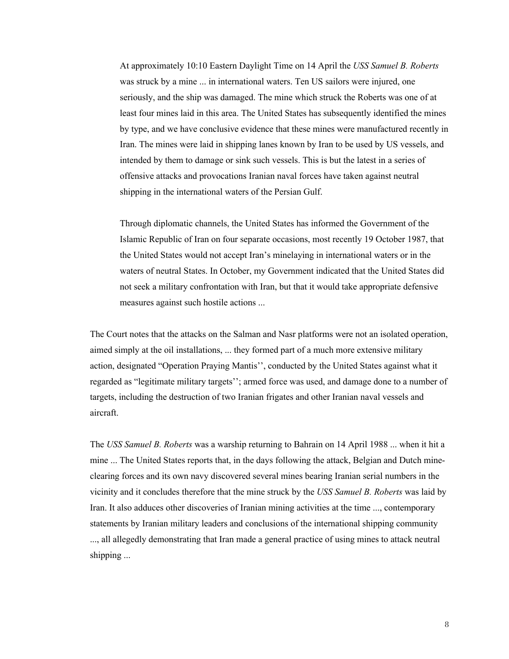At approximately 10:10 Eastern Daylight Time on 14 April the *USS Samuel B. Roberts* was struck by a mine ... in international waters. Ten US sailors were injured, one seriously, and the ship was damaged. The mine which struck the Roberts was one of at least four mines laid in this area. The United States has subsequently identified the mines by type, and we have conclusive evidence that these mines were manufactured recently in Iran. The mines were laid in shipping lanes known by Iran to be used by US vessels, and intended by them to damage or sink such vessels. This is but the latest in a series of offensive attacks and provocations Iranian naval forces have taken against neutral shipping in the international waters of the Persian Gulf.

Through diplomatic channels, the United States has informed the Government of the Islamic Republic of Iran on four separate occasions, most recently 19 October 1987, that the United States would not accept Iran's minelaying in international waters or in the waters of neutral States. In October, my Government indicated that the United States did not seek a military confrontation with Iran, but that it would take appropriate defensive measures against such hostile actions ...

The Court notes that the attacks on the Salman and Nasr platforms were not an isolated operation, aimed simply at the oil installations, ... they formed part of a much more extensive military action, designated "Operation Praying Mantis'', conducted by the United States against what it regarded as "legitimate military targets''; armed force was used, and damage done to a number of targets, including the destruction of two Iranian frigates and other Iranian naval vessels and aircraft.

The *USS Samuel B. Roberts* was a warship returning to Bahrain on 14 April 1988 ... when it hit a mine ... The United States reports that, in the days following the attack, Belgian and Dutch mineclearing forces and its own navy discovered several mines bearing Iranian serial numbers in the vicinity and it concludes therefore that the mine struck by the *USS Samuel B. Roberts* was laid by Iran. It also adduces other discoveries of Iranian mining activities at the time ..., contemporary statements by Iranian military leaders and conclusions of the international shipping community ..., all allegedly demonstrating that Iran made a general practice of using mines to attack neutral shipping ...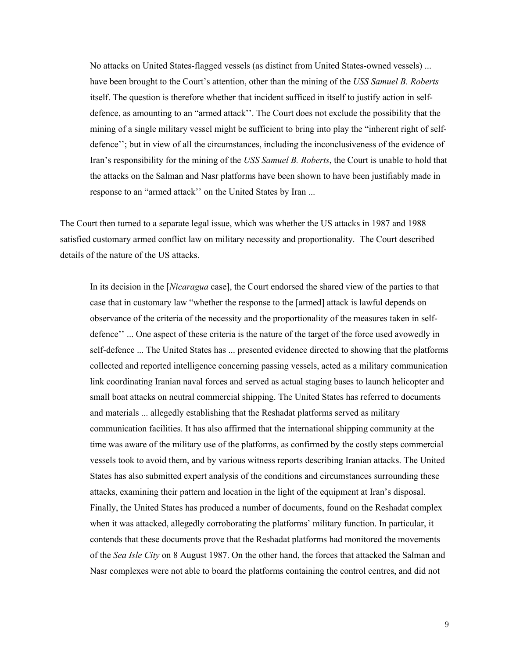No attacks on United States-flagged vessels (as distinct from United States-owned vessels) ... have been brought to the Court's attention, other than the mining of the *USS Samuel B. Roberts* itself. The question is therefore whether that incident sufficed in itself to justify action in selfdefence, as amounting to an "armed attack''. The Court does not exclude the possibility that the mining of a single military vessel might be sufficient to bring into play the "inherent right of selfdefence''; but in view of all the circumstances, including the inconclusiveness of the evidence of Iran's responsibility for the mining of the *USS Samuel B. Roberts*, the Court is unable to hold that the attacks on the Salman and Nasr platforms have been shown to have been justifiably made in response to an "armed attack'' on the United States by Iran ...

The Court then turned to a separate legal issue, which was whether the US attacks in 1987 and 1988 satisfied customary armed conflict law on military necessity and proportionality. The Court described details of the nature of the US attacks.

In its decision in the [*Nicaragua* case], the Court endorsed the shared view of the parties to that case that in customary law "whether the response to the [armed] attack is lawful depends on observance of the criteria of the necessity and the proportionality of the measures taken in selfdefence'' ... One aspect of these criteria is the nature of the target of the force used avowedly in self-defence ... The United States has ... presented evidence directed to showing that the platforms collected and reported intelligence concerning passing vessels, acted as a military communication link coordinating Iranian naval forces and served as actual staging bases to launch helicopter and small boat attacks on neutral commercial shipping. The United States has referred to documents and materials ... allegedly establishing that the Reshadat platforms served as military communication facilities. It has also affirmed that the international shipping community at the time was aware of the military use of the platforms, as confirmed by the costly steps commercial vessels took to avoid them, and by various witness reports describing Iranian attacks. The United States has also submitted expert analysis of the conditions and circumstances surrounding these attacks, examining their pattern and location in the light of the equipment at Iran's disposal. Finally, the United States has produced a number of documents, found on the Reshadat complex when it was attacked, allegedly corroborating the platforms' military function. In particular, it contends that these documents prove that the Reshadat platforms had monitored the movements of the *Sea Isle City* on 8 August 1987. On the other hand, the forces that attacked the Salman and Nasr complexes were not able to board the platforms containing the control centres, and did not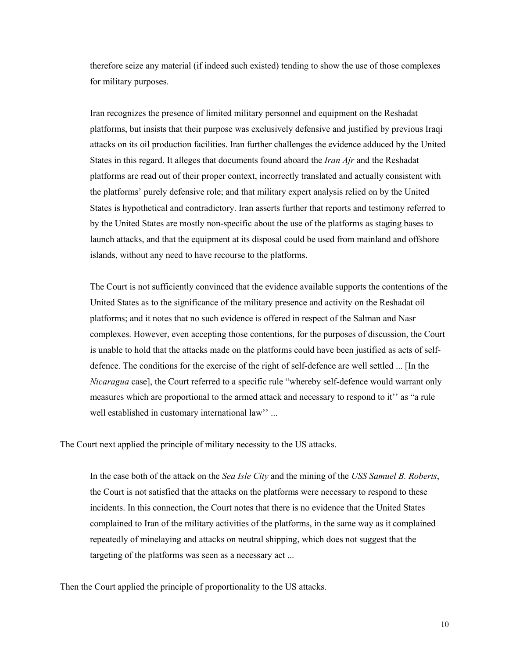therefore seize any material (if indeed such existed) tending to show the use of those complexes for military purposes.

Iran recognizes the presence of limited military personnel and equipment on the Reshadat platforms, but insists that their purpose was exclusively defensive and justified by previous Iraqi attacks on its oil production facilities. Iran further challenges the evidence adduced by the United States in this regard. It alleges that documents found aboard the *Iran Ajr* and the Reshadat platforms are read out of their proper context, incorrectly translated and actually consistent with the platforms' purely defensive role; and that military expert analysis relied on by the United States is hypothetical and contradictory. Iran asserts further that reports and testimony referred to by the United States are mostly non-specific about the use of the platforms as staging bases to launch attacks, and that the equipment at its disposal could be used from mainland and offshore islands, without any need to have recourse to the platforms.

The Court is not sufficiently convinced that the evidence available supports the contentions of the United States as to the significance of the military presence and activity on the Reshadat oil platforms; and it notes that no such evidence is offered in respect of the Salman and Nasr complexes. However, even accepting those contentions, for the purposes of discussion, the Court is unable to hold that the attacks made on the platforms could have been justified as acts of selfdefence. The conditions for the exercise of the right of self-defence are well settled ... [In the *Nicaragua* case], the Court referred to a specific rule "whereby self-defence would warrant only measures which are proportional to the armed attack and necessary to respond to it'' as "a rule well established in customary international law'' ...

The Court next applied the principle of military necessity to the US attacks.

In the case both of the attack on the *Sea Isle City* and the mining of the *USS Samuel B. Roberts*, the Court is not satisfied that the attacks on the platforms were necessary to respond to these incidents. In this connection, the Court notes that there is no evidence that the United States complained to Iran of the military activities of the platforms, in the same way as it complained repeatedly of minelaying and attacks on neutral shipping, which does not suggest that the targeting of the platforms was seen as a necessary act ...

Then the Court applied the principle of proportionality to the US attacks.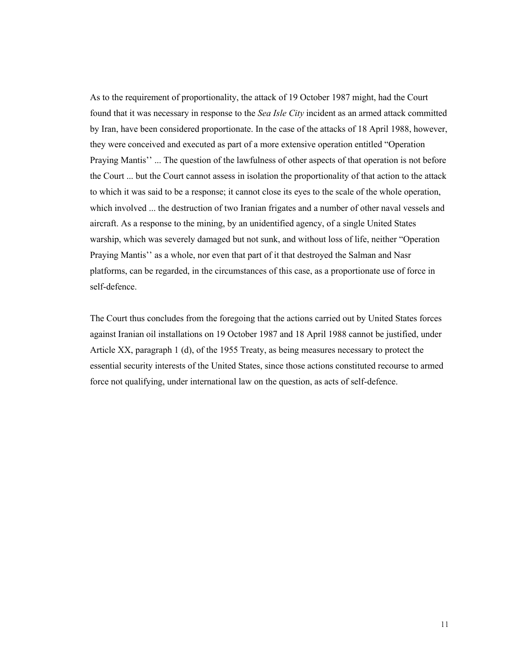As to the requirement of proportionality, the attack of 19 October 1987 might, had the Court found that it was necessary in response to the *Sea Isle City* incident as an armed attack committed by Iran, have been considered proportionate. In the case of the attacks of 18 April 1988, however, they were conceived and executed as part of a more extensive operation entitled "Operation Praying Mantis'' ... The question of the lawfulness of other aspects of that operation is not before the Court ... but the Court cannot assess in isolation the proportionality of that action to the attack to which it was said to be a response; it cannot close its eyes to the scale of the whole operation, which involved ... the destruction of two Iranian frigates and a number of other naval vessels and aircraft. As a response to the mining, by an unidentified agency, of a single United States warship, which was severely damaged but not sunk, and without loss of life, neither "Operation Praying Mantis'' as a whole, nor even that part of it that destroyed the Salman and Nasr platforms, can be regarded, in the circumstances of this case, as a proportionate use of force in self-defence.

The Court thus concludes from the foregoing that the actions carried out by United States forces against Iranian oil installations on 19 October 1987 and 18 April 1988 cannot be justified, under Article XX, paragraph 1 (d), of the 1955 Treaty, as being measures necessary to protect the essential security interests of the United States, since those actions constituted recourse to armed force not qualifying, under international law on the question, as acts of self-defence.